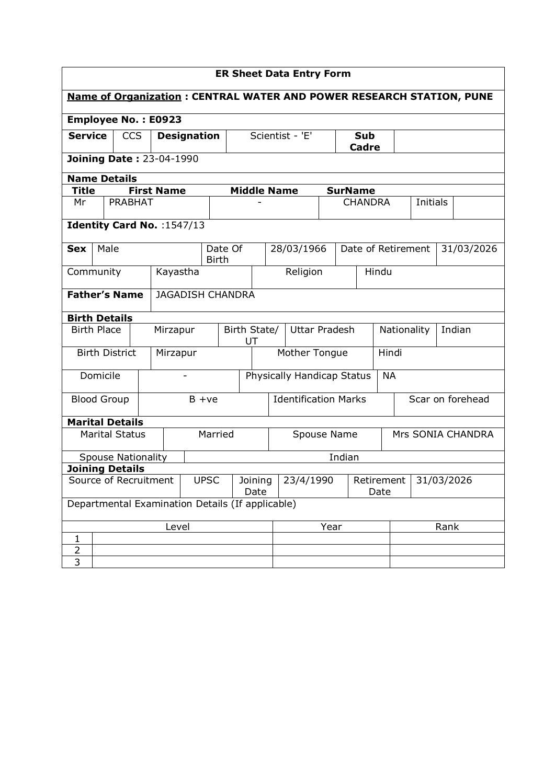| <b>ER Sheet Data Entry Form</b>                                                                     |                                                                      |                           |                               |                                                  |          |                         |                    |                 |                                                 |                                               |      |                |                |                      |                    |      |                   |
|-----------------------------------------------------------------------------------------------------|----------------------------------------------------------------------|---------------------------|-------------------------------|--------------------------------------------------|----------|-------------------------|--------------------|-----------------|-------------------------------------------------|-----------------------------------------------|------|----------------|----------------|----------------------|--------------------|------|-------------------|
|                                                                                                     | Name of Organization: CENTRAL WATER AND POWER RESEARCH STATION, PUNE |                           |                               |                                                  |          |                         |                    |                 |                                                 |                                               |      |                |                |                      |                    |      |                   |
| <b>Employee No.: E0923</b>                                                                          |                                                                      |                           |                               |                                                  |          |                         |                    |                 |                                                 |                                               |      |                |                |                      |                    |      |                   |
| <b>Service</b><br>Scientist - 'E'<br><b>CCS</b><br><b>Designation</b><br><b>Sub</b><br><b>Cadre</b> |                                                                      |                           |                               |                                                  |          |                         |                    |                 |                                                 |                                               |      |                |                |                      |                    |      |                   |
|                                                                                                     |                                                                      |                           |                               | <b>Joining Date: 23-04-1990</b>                  |          |                         |                    |                 |                                                 |                                               |      |                |                |                      |                    |      |                   |
|                                                                                                     | <b>Name Details</b>                                                  |                           |                               |                                                  |          |                         |                    |                 |                                                 |                                               |      |                |                |                      |                    |      |                   |
| <b>Title</b>                                                                                        |                                                                      |                           |                               | <b>First Name</b>                                |          |                         | <b>Middle Name</b> |                 |                                                 |                                               |      | <b>SurName</b> |                |                      |                    |      |                   |
| Mr                                                                                                  |                                                                      | <b>PRABHAT</b>            |                               |                                                  |          |                         |                    |                 |                                                 |                                               |      |                | <b>CHANDRA</b> |                      | Initials           |      |                   |
|                                                                                                     |                                                                      |                           |                               | Identity Card No. : 1547/13                      |          |                         |                    |                 |                                                 |                                               |      |                |                |                      |                    |      |                   |
| <b>Sex</b>                                                                                          | Male                                                                 |                           |                               |                                                  |          | Date Of<br><b>Birth</b> |                    |                 |                                                 | 28/03/1966                                    |      |                |                |                      | Date of Retirement |      | 31/03/2026        |
| Community                                                                                           |                                                                      |                           | Religion<br>Hindu<br>Kayastha |                                                  |          |                         |                    |                 |                                                 |                                               |      |                |                |                      |                    |      |                   |
|                                                                                                     | <b>Father's Name</b><br><b>JAGADISH CHANDRA</b>                      |                           |                               |                                                  |          |                         |                    |                 |                                                 |                                               |      |                |                |                      |                    |      |                   |
| <b>Birth Details</b>                                                                                |                                                                      |                           |                               |                                                  |          |                         |                    |                 |                                                 |                                               |      |                |                |                      |                    |      |                   |
| <b>Birth Place</b>                                                                                  |                                                                      |                           |                               | Mirzapur                                         |          |                         | Birth State/<br>UT |                 |                                                 | <b>Uttar Pradesh</b><br>Nationality<br>Indian |      |                |                |                      |                    |      |                   |
|                                                                                                     |                                                                      | <b>Birth District</b>     |                               | Mirzapur                                         |          |                         |                    |                 | Mother Tongue<br>Hindi                          |                                               |      |                |                |                      |                    |      |                   |
|                                                                                                     | Domicile                                                             |                           |                               |                                                  |          |                         |                    |                 |                                                 | <b>Physically Handicap Status</b>             |      |                |                | <b>NA</b>            |                    |      |                   |
| <b>Blood Group</b>                                                                                  |                                                                      |                           |                               |                                                  | $B + ve$ |                         |                    |                 | <b>Identification Marks</b><br>Scar on forehead |                                               |      |                |                |                      |                    |      |                   |
| <b>Marital Details</b>                                                                              |                                                                      |                           |                               |                                                  |          |                         |                    |                 |                                                 |                                               |      |                |                |                      |                    |      |                   |
|                                                                                                     |                                                                      | <b>Marital Status</b>     |                               |                                                  |          | Married                 |                    |                 |                                                 | Spouse Name                                   |      |                |                |                      |                    |      | Mrs SONIA CHANDRA |
|                                                                                                     |                                                                      | <b>Spouse Nationality</b> |                               |                                                  |          |                         |                    |                 |                                                 |                                               |      | Indian         |                |                      |                    |      |                   |
| <b>Joining Details</b>                                                                              |                                                                      |                           |                               |                                                  |          |                         |                    |                 |                                                 |                                               |      |                |                |                      |                    |      |                   |
|                                                                                                     |                                                                      | Source of Recruitment     |                               |                                                  |          | <b>UPSC</b>             |                    | Joining<br>Date |                                                 | 23/4/1990                                     |      |                |                | Retirement  <br>Date | 31/03/2026         |      |                   |
|                                                                                                     |                                                                      |                           |                               | Departmental Examination Details (If applicable) |          |                         |                    |                 |                                                 |                                               |      |                |                |                      |                    |      |                   |
|                                                                                                     |                                                                      |                           |                               | Level                                            |          |                         |                    |                 |                                                 |                                               | Year |                |                |                      |                    | Rank |                   |
| 1                                                                                                   |                                                                      |                           |                               |                                                  |          |                         |                    |                 |                                                 |                                               |      |                |                |                      |                    |      |                   |
| $\overline{2}$<br>3                                                                                 |                                                                      |                           |                               |                                                  |          |                         |                    |                 |                                                 |                                               |      |                |                |                      |                    |      |                   |
|                                                                                                     |                                                                      |                           |                               |                                                  |          |                         |                    |                 |                                                 |                                               |      |                |                |                      |                    |      |                   |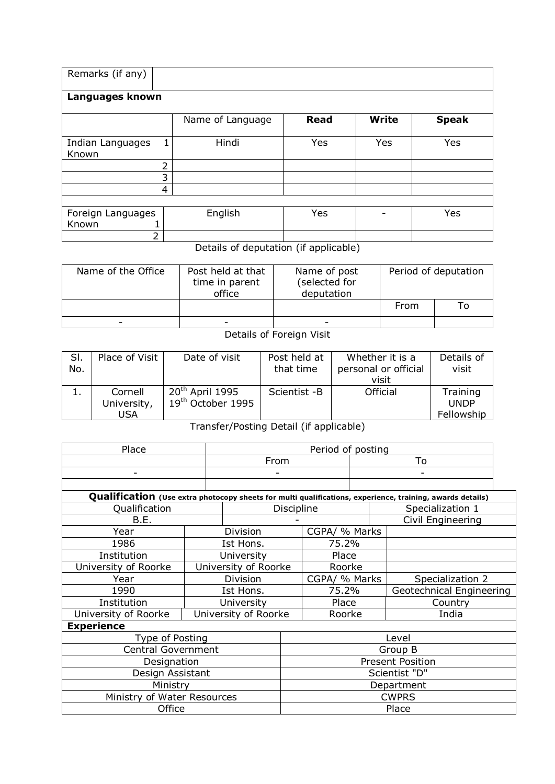| Remarks (if any)               |                  |             |              |              |  |  |  |  |
|--------------------------------|------------------|-------------|--------------|--------------|--|--|--|--|
| Languages known                |                  |             |              |              |  |  |  |  |
|                                | Name of Language | <b>Read</b> | <b>Write</b> | <b>Speak</b> |  |  |  |  |
| Indian Languages<br>1<br>Known | Hindi            | Yes         | Yes          | Yes          |  |  |  |  |
| າ<br>∠                         |                  |             |              |              |  |  |  |  |
| 3                              |                  |             |              |              |  |  |  |  |
| 4                              |                  |             |              |              |  |  |  |  |
|                                |                  |             |              |              |  |  |  |  |
| Foreign Languages<br>Known     | English          | Yes         |              | Yes          |  |  |  |  |
| C.                             |                  |             |              |              |  |  |  |  |

Details of deputation (if applicable)

| Name of the Office | Post held at that<br>time in parent<br>office | Name of post<br>(selected for<br>deputation | Period of deputation |  |
|--------------------|-----------------------------------------------|---------------------------------------------|----------------------|--|
|                    |                                               |                                             | From                 |  |
| -                  | $\overline{\phantom{0}}$                      |                                             |                      |  |

## Details of Foreign Visit

| SI.<br>No. | Place of Visit                | Date of visit                                                | Post held at<br>that time | Whether it is a<br>personal or official<br>visit | Details of<br>visit                   |
|------------|-------------------------------|--------------------------------------------------------------|---------------------------|--------------------------------------------------|---------------------------------------|
| ı.         | Cornell<br>University,<br>USA | 20 <sup>th</sup> April 1995<br>19 <sup>th</sup> October 1995 | Scientist -B              | Official                                         | Training<br><b>UNDP</b><br>Fellowship |

Transfer/Posting Detail (if applicable)

| Place                       |  | Period of posting    |              |               |  |   |                                                                                                           |  |
|-----------------------------|--|----------------------|--------------|---------------|--|---|-----------------------------------------------------------------------------------------------------------|--|
|                             |  | From                 |              |               |  |   | To                                                                                                        |  |
| -                           |  | -                    |              |               |  | ۰ |                                                                                                           |  |
|                             |  |                      |              |               |  |   |                                                                                                           |  |
|                             |  |                      |              |               |  |   | Qualification (Use extra photocopy sheets for multi qualifications, experience, training, awards details) |  |
| Qualification               |  |                      | Discipline   |               |  |   | Specialization 1                                                                                          |  |
| B.E.                        |  |                      |              |               |  |   | Civil Engineering                                                                                         |  |
| Year                        |  | Division             |              | CGPA/ % Marks |  |   |                                                                                                           |  |
| 1986                        |  | Ist Hons.            |              | 75.2%         |  |   |                                                                                                           |  |
| Institution                 |  | University           |              | Place         |  |   |                                                                                                           |  |
| University of Roorke        |  | University of Roorke |              | Roorke        |  |   |                                                                                                           |  |
| Year                        |  | Division             |              | CGPA/ % Marks |  |   | Specialization 2                                                                                          |  |
| 1990                        |  | Ist Hons.            |              | 75.2%         |  |   | Geotechnical Engineering                                                                                  |  |
| Institution                 |  | University           |              | Place         |  |   | Country                                                                                                   |  |
| University of Roorke        |  | University of Roorke |              | Roorke        |  |   | India                                                                                                     |  |
| <b>Experience</b>           |  |                      |              |               |  |   |                                                                                                           |  |
| Type of Posting             |  |                      |              |               |  |   | Level                                                                                                     |  |
| <b>Central Government</b>   |  |                      |              |               |  |   | Group B                                                                                                   |  |
| Designation                 |  |                      |              |               |  |   | <b>Present Position</b>                                                                                   |  |
| Design Assistant            |  |                      |              | Scientist "D" |  |   |                                                                                                           |  |
| Ministry                    |  |                      | Department   |               |  |   |                                                                                                           |  |
| Ministry of Water Resources |  |                      | <b>CWPRS</b> |               |  |   |                                                                                                           |  |
| Office                      |  |                      | Place        |               |  |   |                                                                                                           |  |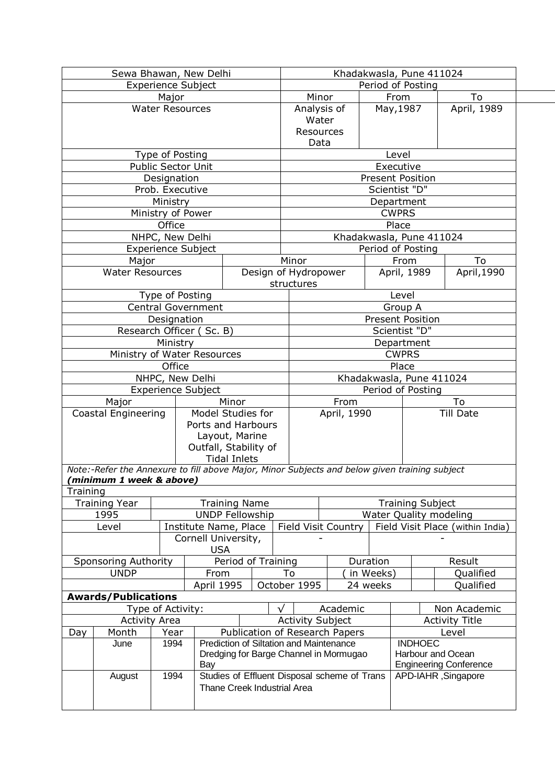|          | Sewa Bhawan, New Delhi                                                                        |                           |            |                                              |    |                                    | Khadakwasla, Pune 411024   |           |                         |                                  |  |
|----------|-----------------------------------------------------------------------------------------------|---------------------------|------------|----------------------------------------------|----|------------------------------------|----------------------------|-----------|-------------------------|----------------------------------|--|
|          |                                                                                               | <b>Experience Subject</b> |            |                                              |    |                                    |                            |           | Period of Posting       |                                  |  |
|          |                                                                                               | Major                     |            |                                              |    | Minor                              |                            |           | From                    | To                               |  |
|          |                                                                                               | <b>Water Resources</b>    |            |                                              |    | Analysis of<br>Water               |                            |           | May, 1987               | April, 1989                      |  |
|          |                                                                                               |                           |            |                                              |    | Resources                          |                            |           |                         |                                  |  |
|          |                                                                                               |                           |            |                                              |    | Data                               |                            |           |                         |                                  |  |
|          |                                                                                               | Type of Posting           |            |                                              |    |                                    |                            |           | Level                   |                                  |  |
|          |                                                                                               | Public Sector Unit        |            |                                              |    |                                    |                            |           | Executive               |                                  |  |
|          |                                                                                               | Designation               |            |                                              |    |                                    |                            |           | <b>Present Position</b> |                                  |  |
|          |                                                                                               | Prob. Executive           |            |                                              |    |                                    |                            |           | Scientist "D"           |                                  |  |
|          |                                                                                               | Ministry                  |            |                                              |    |                                    |                            |           | Department              |                                  |  |
|          |                                                                                               | Ministry of Power         |            |                                              |    |                                    |                            |           | <b>CWPRS</b>            |                                  |  |
|          |                                                                                               | Office                    |            |                                              |    |                                    |                            |           | Place                   |                                  |  |
|          |                                                                                               | NHPC, New Delhi           |            |                                              |    |                                    | Khadakwasla, Pune 411024   |           |                         |                                  |  |
|          |                                                                                               | <b>Experience Subject</b> |            |                                              |    |                                    |                            |           | Period of Posting       |                                  |  |
|          | Major                                                                                         |                           |            |                                              |    | Minor                              |                            |           | From                    | To                               |  |
|          | <b>Water Resources</b>                                                                        |                           |            |                                              |    | Design of Hydropower<br>structures |                            |           | April, 1989             | April, 1990                      |  |
|          |                                                                                               | Type of Posting           |            |                                              |    |                                    |                            |           | Level                   |                                  |  |
|          |                                                                                               | <b>Central Government</b> |            |                                              |    |                                    |                            |           | Group A                 |                                  |  |
|          |                                                                                               | Designation               |            |                                              |    |                                    |                            |           | <b>Present Position</b> |                                  |  |
|          |                                                                                               | Research Officer (Sc. B)  |            |                                              |    |                                    |                            |           | Scientist "D"           |                                  |  |
|          |                                                                                               | Ministry                  |            |                                              |    |                                    |                            |           | Department              |                                  |  |
|          | Ministry of Water Resources                                                                   |                           |            |                                              |    | <b>CWPRS</b>                       |                            |           |                         |                                  |  |
|          |                                                                                               | Office                    |            |                                              |    | Place<br>Khadakwasla, Pune 411024  |                            |           |                         |                                  |  |
|          |                                                                                               | NHPC, New Delhi           |            |                                              |    |                                    |                            |           |                         |                                  |  |
|          | Major                                                                                         | <b>Experience Subject</b> |            | Minor                                        |    | Period of Posting                  |                            |           | To                      |                                  |  |
|          | Coastal Engineering                                                                           |                           |            | Model Studies for                            |    |                                    | From<br>April, 1990        |           |                         | <b>Till Date</b>                 |  |
|          |                                                                                               |                           |            | Ports and Harbours                           |    |                                    |                            |           |                         |                                  |  |
|          |                                                                                               |                           |            | Layout, Marine                               |    |                                    |                            |           |                         |                                  |  |
|          |                                                                                               |                           |            | Outfall, Stability of                        |    |                                    |                            |           |                         |                                  |  |
|          |                                                                                               |                           |            | <b>Tidal Inlets</b>                          |    |                                    |                            |           |                         |                                  |  |
|          | Note:-Refer the Annexure to fill above Major, Minor Subjects and below given training subject |                           |            |                                              |    |                                    |                            |           |                         |                                  |  |
|          | (minimum 1 week & above)                                                                      |                           |            |                                              |    |                                    |                            |           |                         |                                  |  |
| Training |                                                                                               |                           |            |                                              |    |                                    |                            |           |                         |                                  |  |
|          | <b>Training Year</b>                                                                          |                           |            | <b>Training Name</b>                         |    |                                    |                            |           | <b>Training Subject</b> |                                  |  |
|          | 1995                                                                                          |                           |            | <b>UNDP Fellowship</b>                       |    |                                    |                            |           |                         | Water Quality modeling           |  |
|          | Level                                                                                         |                           |            | Institute Name, Place                        |    |                                    | <b>Field Visit Country</b> |           |                         | Field Visit Place (within India) |  |
|          |                                                                                               |                           | <b>USA</b> | Cornell University,                          |    |                                    |                            |           |                         |                                  |  |
|          | <b>Sponsoring Authority</b>                                                                   |                           |            | Period of Training                           |    |                                    |                            | Duration  |                         | Result                           |  |
|          | <b>UNDP</b>                                                                                   |                           | From       |                                              | To |                                    |                            | in Weeks) |                         | Qualified                        |  |
|          |                                                                                               |                           | April 1995 |                                              |    | October 1995                       |                            | 24 weeks  |                         | Qualified                        |  |
|          | <b>Awards/Publications</b>                                                                    |                           |            |                                              |    |                                    |                            |           |                         |                                  |  |
|          |                                                                                               | Type of Activity:         |            |                                              |    |                                    | Academic                   |           |                         | Non Academic                     |  |
|          |                                                                                               | <b>Activity Area</b>      |            |                                              |    | <b>Activity Subject</b>            |                            |           |                         | <b>Activity Title</b>            |  |
| Day      | Month                                                                                         | Year                      |            | Publication of Research Papers               |    |                                    |                            |           |                         | Level                            |  |
|          | June                                                                                          | 1994                      |            | Prediction of Siltation and Maintenance      |    |                                    |                            |           | <b>INDHOEC</b>          |                                  |  |
|          |                                                                                               |                           |            | Dredging for Barge Channel in Mormugao       |    |                                    |                            |           |                         | Harbour and Ocean                |  |
|          |                                                                                               |                           | Bay        |                                              |    |                                    |                            |           |                         | <b>Engineering Conference</b>    |  |
|          | August                                                                                        | 1994                      |            | Studies of Effluent Disposal scheme of Trans |    |                                    |                            |           |                         | APD-IAHR, Singapore              |  |
|          |                                                                                               |                           |            | <b>Thane Creek Industrial Area</b>           |    |                                    |                            |           |                         |                                  |  |
|          |                                                                                               |                           |            |                                              |    |                                    |                            |           |                         |                                  |  |
|          |                                                                                               |                           |            |                                              |    |                                    |                            |           |                         |                                  |  |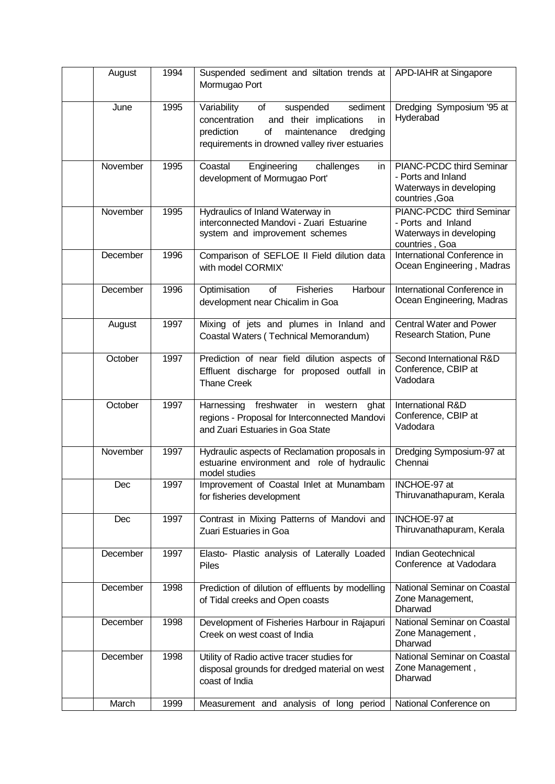| August   | 1994 | Suspended sediment and siltation trends at<br>Mormugao Port                                                                                                                                  | APD-IAHR at Singapore                                                                       |
|----------|------|----------------------------------------------------------------------------------------------------------------------------------------------------------------------------------------------|---------------------------------------------------------------------------------------------|
| June     | 1995 | Variability<br>suspended<br>sediment<br>of<br>and their implications<br>concentration<br>in<br>prediction<br>of<br>maintenance<br>dredging<br>requirements in drowned valley river estuaries | Dredging Symposium '95 at<br>Hyderabad                                                      |
| November | 1995 | Engineering<br>Coastal<br>challenges<br>in<br>development of Mormugao Port'                                                                                                                  | PIANC-PCDC third Seminar<br>- Ports and Inland<br>Waterways in developing<br>countries, Goa |
| November | 1995 | Hydraulics of Inland Waterway in<br>interconnected Mandovi - Zuari Estuarine<br>system and improvement schemes                                                                               | PIANC-PCDC third Seminar<br>- Ports and Inland<br>Waterways in developing<br>countries, Goa |
| December | 1996 | Comparison of SEFLOE II Field dilution data<br>with model CORMIX'                                                                                                                            | International Conference in<br>Ocean Engineering, Madras                                    |
| December | 1996 | Optimisation<br>Harbour<br>of<br><b>Fisheries</b><br>development near Chicalim in Goa                                                                                                        | International Conference in<br>Ocean Engineering, Madras                                    |
| August   | 1997 | Mixing of jets and plumes in Inland and<br>Coastal Waters (Technical Memorandum)                                                                                                             | <b>Central Water and Power</b><br>Research Station, Pune                                    |
| October  | 1997 | Prediction of near field dilution aspects of<br>Effluent discharge for proposed outfall in<br><b>Thane Creek</b>                                                                             | Second International R&D<br>Conference, CBIP at<br>Vadodara                                 |
| October  | 1997 | Harnessing freshwater in western<br>ghat<br>regions - Proposal for Interconnected Mandovi<br>and Zuari Estuaries in Goa State                                                                | International R&D<br>Conference, CBIP at<br>Vadodara                                        |
| November | 1997 | Hydraulic aspects of Reclamation proposals in<br>estuarine environment and role of hydraulic<br>model studies                                                                                | Dredging Symposium-97 at<br>Chennai                                                         |
| Dec      | 1997 | Improvement of Coastal Inlet at Munambam<br>for fisheries development                                                                                                                        | INCHOE-97 at<br>Thiruvanathapuram, Kerala                                                   |
| Dec      | 1997 | Contrast in Mixing Patterns of Mandovi and<br>Zuari Estuaries in Goa                                                                                                                         | INCHOE-97 at<br>Thiruvanathapuram, Kerala                                                   |
| December | 1997 | Elasto- Plastic analysis of Laterally Loaded<br><b>Piles</b>                                                                                                                                 | Indian Geotechnical<br>Conference at Vadodara                                               |
| December | 1998 | Prediction of dilution of effluents by modelling<br>of Tidal creeks and Open coasts                                                                                                          | National Seminar on Coastal<br>Zone Management,<br>Dharwad                                  |
| December | 1998 | Development of Fisheries Harbour in Rajapuri<br>Creek on west coast of India                                                                                                                 | National Seminar on Coastal<br>Zone Management,<br>Dharwad                                  |
| December | 1998 | Utility of Radio active tracer studies for<br>disposal grounds for dredged material on west<br>coast of India                                                                                | National Seminar on Coastal<br>Zone Management,<br>Dharwad                                  |
| March    | 1999 | Measurement and analysis of long period                                                                                                                                                      | National Conference on                                                                      |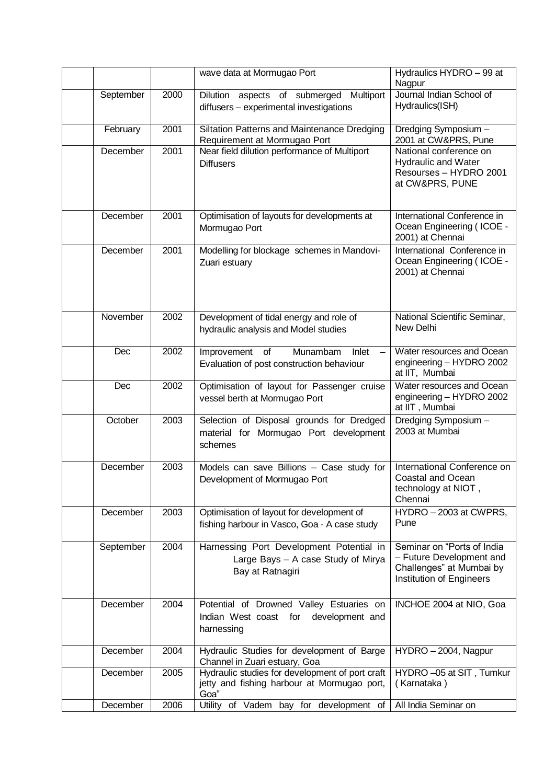|           |      | wave data at Mormugao Port                                                                             | Hydraulics HYDRO - 99 at<br>Nagpur                                                                             |
|-----------|------|--------------------------------------------------------------------------------------------------------|----------------------------------------------------------------------------------------------------------------|
| September | 2000 | Dilution aspects of submerged<br>Multiport<br>diffusers - experimental investigations                  | Journal Indian School of<br>Hydraulics(ISH)                                                                    |
| February  | 2001 | Siltation Patterns and Maintenance Dredging<br>Requirement at Mormugao Port                            | Dredging Symposium -<br>2001 at CW&PRS, Pune                                                                   |
| December  | 2001 | Near field dilution performance of Multiport<br><b>Diffusers</b>                                       | National conference on<br><b>Hydraulic and Water</b><br>Resourses - HYDRO 2001<br>at CW&PRS, PUNE              |
| December  | 2001 | Optimisation of layouts for developments at<br>Mormugao Port                                           | International Conference in<br>Ocean Engineering (ICOE -<br>2001) at Chennai                                   |
| December  | 2001 | Modelling for blockage schemes in Mandovi-<br>Zuari estuary                                            | International Conference in<br>Ocean Engineering (ICOE -<br>2001) at Chennai                                   |
| November  | 2002 | Development of tidal energy and role of<br>hydraulic analysis and Model studies                        | National Scientific Seminar,<br>New Delhi                                                                      |
| Dec       | 2002 | Improvement of<br>Munambam<br>Inlet<br>$\qquad \qquad -$<br>Evaluation of post construction behaviour  | Water resources and Ocean<br>engineering - HYDRO 2002<br>at IIT, Mumbai                                        |
| Dec       | 2002 | Optimisation of layout for Passenger cruise<br>vessel berth at Mormugao Port                           | Water resources and Ocean<br>engineering - HYDRO 2002<br>at IIT, Mumbai                                        |
| October   | 2003 | Selection of Disposal grounds for Dredged<br>material for Mormugao Port development<br>schemes         | Dredging Symposium -<br>2003 at Mumbai                                                                         |
| December  | 2003 | Models can save Billions - Case study for<br>Development of Mormugao Port                              | International Conference on<br><b>Coastal and Ocean</b><br>technology at NIOT,<br>Chennai                      |
| December  | 2003 | Optimisation of layout for development of<br>fishing harbour in Vasco, Goa - A case study              | HYDRO - 2003 at CWPRS,<br>Pune                                                                                 |
| September | 2004 | Harnessing Port Development Potential in<br>Large Bays - A case Study of Mirya<br>Bay at Ratnagiri     | Seminar on "Ports of India<br>- Future Development and<br>Challenges" at Mumbai by<br>Institution of Engineers |
| December  | 2004 | Potential of Drowned Valley Estuaries on<br>Indian West coast<br>for<br>development and<br>harnessing  | INCHOE 2004 at NIO, Goa                                                                                        |
| December  | 2004 | Hydraulic Studies for development of Barge<br>Channel in Zuari estuary, Goa                            | HYDRO - 2004, Nagpur                                                                                           |
| December  | 2005 | Hydraulic studies for development of port craft<br>jetty and fishing harbour at Mormugao port,<br>Goa" | HYDRO -05 at SIT, Tumkur<br>(Karnataka)                                                                        |
| December  | 2006 | Utility of Vadem bay for development of                                                                | All India Seminar on                                                                                           |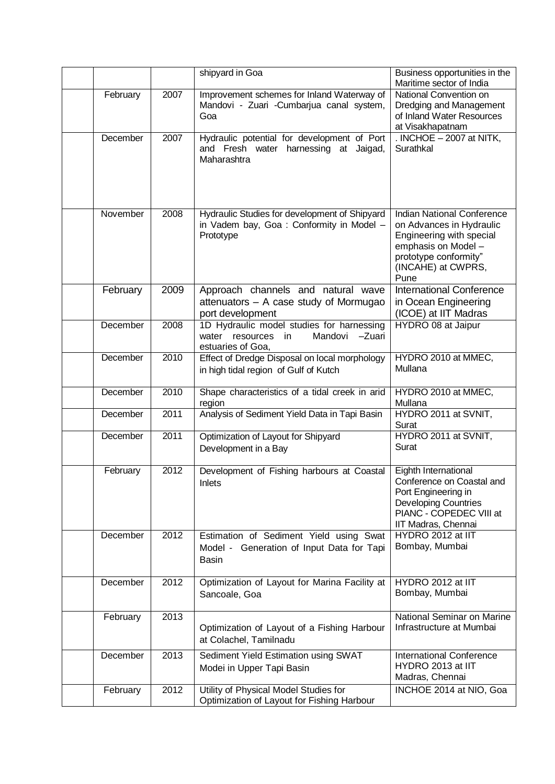|                      |              | shipyard in Goa                                                                                              | Business opportunities in the<br>Maritime sector of India                                                                                                        |
|----------------------|--------------|--------------------------------------------------------------------------------------------------------------|------------------------------------------------------------------------------------------------------------------------------------------------------------------|
| February             | 2007         | Improvement schemes for Inland Waterway of<br>Mandovi - Zuari - Cumbarjua canal system,<br>Goa               | National Convention on<br>Dredging and Management<br>of Inland Water Resources<br>at Visakhapatnam                                                               |
| December             | 2007         | Hydraulic potential for development of Port<br>and Fresh water harnessing at Jaigad,<br>Maharashtra          | . INCHOE $-2007$ at NITK,<br>Surathkal                                                                                                                           |
| November             | 2008         | Hydraulic Studies for development of Shipyard<br>in Vadem bay, Goa: Conformity in Model -<br>Prototype       | Indian National Conference<br>on Advances in Hydraulic<br>Engineering with special<br>emphasis on Model -<br>prototype conformity"<br>(INCAHE) at CWPRS,<br>Pune |
| February             | 2009         | Approach channels and natural wave<br>attenuators - A case study of Mormugao<br>port development             | <b>International Conference</b><br>in Ocean Engineering<br>(ICOE) at IIT Madras                                                                                  |
| December             | 2008         | 1D Hydraulic model studies for harnessing<br>Mandovi<br>water resources<br>-Zuari<br>in<br>estuaries of Goa, | HYDRO 08 at Jaipur                                                                                                                                               |
| December             | 2010         | Effect of Dredge Disposal on local morphology<br>in high tidal region of Gulf of Kutch                       | HYDRO 2010 at MMEC,<br>Mullana                                                                                                                                   |
| December             | 2010         | Shape characteristics of a tidal creek in arid<br>region                                                     | HYDRO 2010 at MMEC,<br>Mullana                                                                                                                                   |
| December             | 2011         | Analysis of Sediment Yield Data in Tapi Basin                                                                | HYDRO 2011 at SVNIT,<br>Surat                                                                                                                                    |
| December             |              | Optimization of Layout for Shipyard                                                                          |                                                                                                                                                                  |
|                      | 2011         | Development in a Bay                                                                                         | HYDRO 2011 at SVNIT,<br>Surat                                                                                                                                    |
| February             | 2012         | Development of Fishing harbours at Coastal<br>Inlets                                                         | Eighth International<br>Conference on Coastal and<br>Port Engineering in<br><b>Developing Countries</b><br>PIANC - COPEDEC VIII at<br>IIT Madras, Chennai        |
| December             | 2012         | Estimation of Sediment Yield using Swat<br>Model - Generation of Input Data for Tapi<br><b>Basin</b>         | HYDRO 2012 at IIT<br>Bombay, Mumbai                                                                                                                              |
| December             | 2012         | Optimization of Layout for Marina Facility at<br>Sancoale, Goa                                               | HYDRO 2012 at IIT<br>Bombay, Mumbai                                                                                                                              |
| February             | 2013         | Optimization of Layout of a Fishing Harbour<br>at Colachel, Tamilnadu                                        | National Seminar on Marine<br>Infrastructure at Mumbai                                                                                                           |
| December<br>February | 2013<br>2012 | Sediment Yield Estimation using SWAT<br>Modei in Upper Tapi Basin<br>Utility of Physical Model Studies for   | <b>International Conference</b><br>HYDRO 2013 at IIT<br>Madras, Chennai<br>INCHOE 2014 at NIO, Goa                                                               |